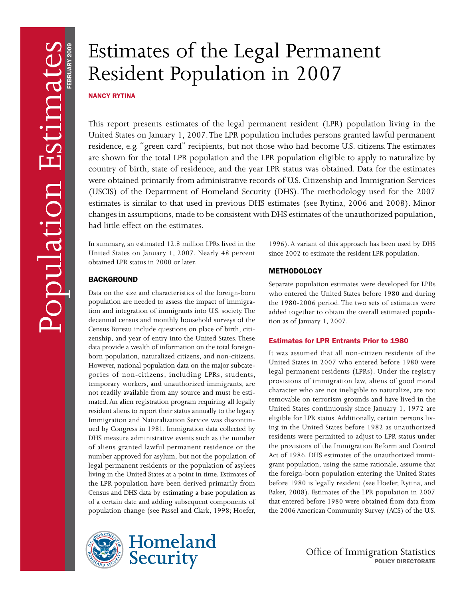# Estimates of the Legal Permanent Resident Population in 2007

**NANCY RYTINA** 

This report presents estimates of the legal permanent resident (LPR) population living in the United States on January 1, 2007. The LPR population includes persons granted lawful permanent residence, e.g. "green card" recipients, but not those who had become U.S. citizens. The estimates are shown for the total LPR population and the LPR population eligible to apply to naturalize by country of birth, state of residence, and the year LPR status was obtained. Data for the estimates were obtained primarily from administrative records of U.S. Citizenship and Immigration Services (USCIS) of the Department of Homeland Security (DHS). The methodology used for the 2007 estimates is similar to that used in previous DHS estimates (see Rytina, 2006 and 2008). Minor changes in assumptions, made to be consistent with DHS estimates of the unauthorized population, had little effect on the estimates.

In summary, an estimated 12.8 million LPRs lived in the United States on January 1, 2007. Nearly 48 percent obtained LPR status in 2000 or later.

# **BACKGROUND**

- population are needed to assess the impact of immigra Census Bureau include questions on place of birth, citi-However, national population data on the major subcatenot readily available from any source and must be esti-Immigration and Naturalization Service was discontin-Data on the size and characteristics of the foreign-born tion and integration of immigrants into U.S. society. The decennial census and monthly household surveys of the zenship, and year of entry into the United States. These data provide a wealth of information on the total foreignborn population, naturalized citizens, and non-citizens. gories of non-citizens, including LPRs, students, temporary workers, and unauthorized immigrants, are mated. An alien registration program requiring all legally resident aliens to report their status annually to the legacy ued by Congress in 1981. Immigration data collected by DHS measure administrative events such as the number of aliens granted lawful permanent residence or the number approved for asylum, but not the population of legal permanent residents or the population of asylees living in the United States at a point in time. Estimates of the LPR population have been derived primarily from Census and DHS data by estimating a base population as of a certain date and adding subsequent components of population change (see Passel and Clark, 1998; Hoefer,





1996). A variant of this approach has been used by DHS since 2002 to estimate the resident LPR population.

# **METHODOLOGY**

- added together to obtain the overall estimated popula Separate population estimates were developed for LPRs who entered the United States before 1980 and during the 1980-2006 period. The two sets of estimates were tion as of January 1, 2007.

# **Estimates for LPR Entrants Prior to 1980**

- eligible for LPR status. Additionally, certain persons liv - Act of 1986. DHS estimates of the unauthorized immi It was assumed that all non-citizen residents of the United States in 2007 who entered before 1980 were legal permanent residents (LPRs). Under the registry provisions of immigration law, aliens of good moral character who are not ineligible to naturalize, are not removable on terrorism grounds and have lived in the United States continuously since January 1, 1972 are ing in the United States before 1982 as unauthorized residents were permitted to adjust to LPR status under the provisions of the Immigration Reform and Control grant population, using the same rationale, assume that the foreign-born population entering the United States before 1980 is legally resident (see Hoefer, Rytina, and Baker, 2008). Estimates of the LPR population in 2007 that entered before 1980 were obtained from data from the 2006 American Community Survey (ACS) of the U.S.

> Office of Immigration Statistics Policy Directorate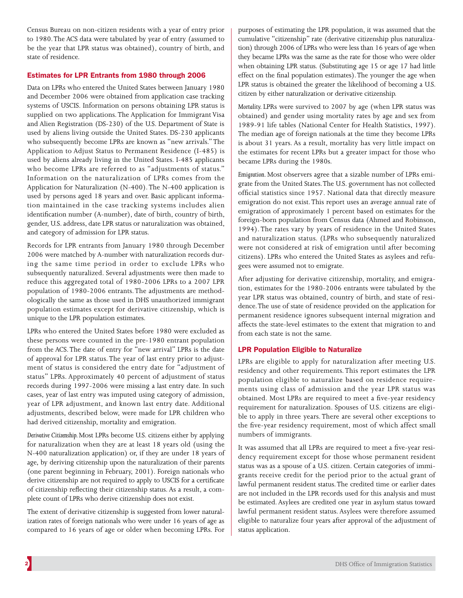Census Bureau on non-citizen residents with a year of entry prior to 1980. The ACS data were tabulated by year of entry (assumed to be the year that LPR status was obtained), country of birth, and state of residence.

# Estimates for LPR Entrants from 1980 through 2006

used by persons aged 18 years and over. Basic applicant informa-Data on LPRs who entered the United States between January 1980 and December 2006 were obtained from application case tracking systems of USCIS. Information on persons obtaining LPR status is supplied on two applications. The Application for Immigrant Visa and Alien Registration (DS-230) of the U.S. Department of State is used by aliens living outside the United States. DS-230 applicants who subsequently become LPRs are known as "new arrivals." The Application to Adjust Status to Permanent Residence (I-485) is used by aliens already living in the United States. I-485 applicants who become LPRs are referred to as "adjustments of status." Information on the naturalization of LPRs comes from the Application for Naturalization (N-400). The N-400 application is tion maintained in the case tracking systems includes alien identification number (A-number), date of birth, country of birth, gender, U.S. address, date LPR status or naturalization was obtained, and category of admission for LPR status.

- 2006 were matched by A-number with naturalization records dur - population of 1980-2006 entrants. The adjustments are method Records for LPR entrants from January 1980 through December ing the same time period in order to exclude LPRs who subsequently naturalized. Several adjustments were then made to reduce this aggregated total of 1980-2006 LPRs to a 2007 LPR ologically the same as those used in DHS unauthorized immigrant population estimates except for derivative citizenship, which is unique to the LPR population estimates.

- of approval for LPR status. The year of last entry prior to adjust LPRs who entered the United States before 1980 were excluded as these persons were counted in the pre-1980 entrant population from the ACS. The date of entry for "new arrival" LPRs is the date ment of status is considered the entry date for "adjustment of status" LPRs. Approximately 40 percent of adjustment of status records during 1997-2006 were missing a last entry date. In such cases, year of last entry was imputed using category of admission, year of LPR adjustment, and known last entry date. Additional adjustments, described below, were made for LPR children who had derived citizenship, mortality and emigration.

- of citizenship reflecting their citizenship status. As a result, a com *Derivative Citizenship.* Most LPRs become U.S. citizens either by applying for naturalization when they are at least 18 years old (using the N-400 naturalization application) or, if they are under 18 years of age, by deriving citizenship upon the naturalization of their parents (one parent beginning in February, 2001). Foreign nationals who derive citizenship are not required to apply to USCIS for a certificate plete count of LPRs who derive citizenship does not exist.

The extent of derivative citizenship is suggested from lower naturalization rates of foreign nationals who were under 16 years of age as compared to 16 years of age or older when becoming LPRs. For

- cumulative "citizenship" rate (derivative citizenship plus naturaliza purposes of estimating the LPR population, it was assumed that the tion) through 2006 of LPRs who were less than 16 years of age when they became LPRs was the same as the rate for those who were older when obtaining LPR status. (Substituting age 15 or age 17 had little effect on the final population estimates). The younger the age when LPR status is obtained the greater the likelihood of becoming a U.S. citizen by either naturalization or derivative citizenship.

*Mortality.* LPRs were survived to 2007 by age (when LPR status was obtained) and gender using mortality rates by age and sex from 1989-91 life tables (National Center for Health Statistics, 1997). The median age of foreign nationals at the time they become LPRs is about 31 years. As a result, mortality has very little impact on the estimates for recent LPRs but a greater impact for those who became LPRs during the 1980s.

- *Emigration.* Most observers agree that a sizable number of LPRs emi - citizens). LPRs who entered the United States as asylees and refu grate from the United States. The U.S. government has not collected official statistics since 1957. National data that directly measure emigration do not exist. This report uses an average annual rate of emigration of approximately 1 percent based on estimates for the foreign-born population from Census data (Ahmed and Robinson, 1994). The rates vary by years of residence in the United States and naturalization status. (LPRs who subsequently naturalized were not considered at risk of emigration until after becoming gees were assumed not to emigrate.

- After adjusting for derivative citizenship, mortality, and emigra year LPR status was obtained, country of birth, and state of resition, estimates for the 1980-2006 entrants were tabulated by the dence. The use of state of residence provided on the application for permanent residence ignores subsequent internal migration and affects the state-level estimates to the extent that migration to and from each state is not the same.

# **LPR Population Eligible to Naturalize**

- population eligible to naturalize based on residence require - requirement for naturalization. Spouses of U.S. citizens are eligi LPRs are eligible to apply for naturalization after meeting U.S. residency and other requirements. This report estimates the LPR ments using class of admission and the year LPR status was obtained. Most LPRs are required to meet a five-year residency ble to apply in three years. There are several other exceptions to the five-year residency requirement, most of which affect small numbers of immigrants.

It was assumed that all LPRs are required to meet a five-year resi-- status was as a spouse of a U.S. citizen. Certain categories of immi dency requirement except for those whose permanent resident grants receive credit for the period prior to the actual grant of lawful permanent resident status. The credited time or earlier dates are not included in the LPR records used for this analysis and must be estimated. Asylees are credited one year in asylum status toward lawful permanent resident status. Asylees were therefore assumed eligible to naturalize four years after approval of the adjustment of status application.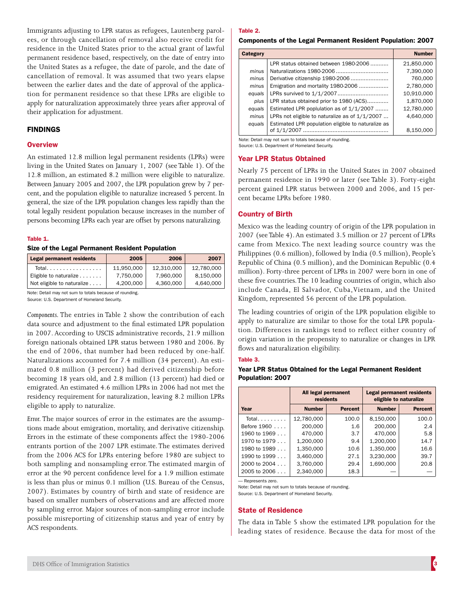- Immigrants adjusting to LPR status as refugees, Lautenberg parol between the earlier dates and the date of approval of the applicaees, or through cancellation of removal also receive credit for residence in the United States prior to the actual grant of lawful permanent residence based, respectively, on the date of entry into the United States as a refugee, the date of parole, and the date of cancellation of removal. It was assumed that two years elapse tion for permanent residence so that these LPRs are eligible to apply for naturalization approximately three years after approval of their application for adjustment.

# FiNDiNGS

## **Overview**

Between January 2005 and 2007, the LPR population grew by 7 per-An estimated 12.8 million legal permanent residents (LPRs) were living in the United States on January 1, 2007 (see Table 1). Of the 12.8 million, an estimated 8.2 million were eligible to naturalize. cent, and the population eligible to naturalize increased 5 percent. In general, the size of the LPR population changes less rapidly than the total legally resident population because increases in the number of persons becoming LPRs each year are offset by persons naturalizing.

#### Table 1.

## Size of the Legal Permanent Resident Population

| <b>Legal permanent residents</b> | 2005       | 2006       | 2007       |
|----------------------------------|------------|------------|------------|
| Total.                           | 11.950.000 | 12.310.000 | 12.780.000 |
| Eligible to naturalize           | 7,750,000  | 7.960.000  | 8.150.000  |
| Not eligible to naturalize       | 4.200.000  | 4.360.000  | 4,640,000  |

Note: Detail may not sum to totals because of rounding .

Source: U.S. Department of Homeland Security.

Naturalizations accounted for 7.4 million (34 percent). An esti-*Components.* The entries in Table 2 show the contribution of each data source and adjustment to the final estimated LPR population in 2007. According to USCIS administrative records, 21.9 million foreign nationals obtained LPR status between 1980 and 2006. By the end of 2006, that number had been reduced by one-half. mated 0.8 million (3 percent) had derived citizenship before becoming 18 years old, and 2.8 million (13 percent) had died or emigrated. An estimated 4.6 million LPRs in 2006 had not met the residency requirement for naturalization, leaving 8.2 million LPRs eligible to apply to naturalize.

*Error.* The major sources of error in the estimates are the assumptions made about emigration, mortality, and derivative citizenship. Errors in the estimate of these components affect the 1980-2006 entrants portion of the 2007 LPR estimate. The estimates derived from the 2006 ACS for LPRs entering before 1980 are subject to both sampling and nonsampling error. The estimated margin of error at the 90 percent confidence level for a 1.9 million estimate is less than plus or minus 0.1 million (U.S. Bureau of the Census, 2007). Estimates by country of birth and state of residence are based on smaller numbers of observations and are affected more by sampling error. Major sources of non-sampling error include possible misreporting of citizenship status and year of entry by ACS respondents.

#### Table 2.

## Components of the Legal Permanent Resident Population: 2007

| Category |                                                    | <b>Number</b> |
|----------|----------------------------------------------------|---------------|
|          | LPR status obtained between 1980-2006              | 21,850,000    |
| minus    |                                                    | 7,390,000     |
| minus    |                                                    | 760,000       |
| minus    | Emigration and mortality 1980-2006                 | 2,780,000     |
| equals   |                                                    | 10,910,000    |
| plus     | LPR status obtained prior to 1980 (ACS)            | 1,870,000     |
| equals   | Estimated LPR poplulation as of 1/1/2007           | 12,780,000    |
| minus    | LPRs not eligible to naturalize as of $1/1/2007$   | 4,640,000     |
| equals   | Estimated LPR population eligible to naturalize as |               |
|          | of $1/1/2007$                                      | 8.150.000     |

Note: Detail may not sum to totals because of rounding . Source: U.S. Department of Homeland Security

#### **Year LPR Status Obtained**

- percent gained LPR status between 2000 and 2006, and 15 per Nearly 75 percent of LPRs in the United States in 2007 obtained permanent residence in 1990 or later (see Table 3). Forty-eight cent became LPRs before 1980.

## **Country of Birth**

Mexico was the leading country of origin of the LPR population in 2007 (see Table 4). An estimated 3.5 million or 27 percent of LPRs came from Mexico. The next leading source country was the Philippines (0.6 million), followed by India (0.5 million), People's Republic of China (0.5 million), and the Dominican Republic (0.4 million). Forty-three percent of LPRs in 2007 were born in one of these five countries. The 10 leading countries of origin, which also include Canada, El Salvador, Cuba,Vietnam, and the United Kingdom, represented 56 percent of the LPR population.

- apply to naturalize are similar to those for the total LPR popula The leading countries of origin of the LPR population eligible to tion. Differences in rankings tend to reflect either country of origin variation in the propensity to naturalize or changes in LPR flows and naturalization eligibility.

#### Table 3.

Year LPR Status Obtained for the Legal Permanent Resident Population: 2007

|                  | All legal permanent<br>residents |                |               | <b>Legal permanent residents</b><br>eligible to naturalize |
|------------------|----------------------------------|----------------|---------------|------------------------------------------------------------|
| Year             | <b>Number</b>                    | <b>Percent</b> | <b>Number</b> | <b>Percent</b>                                             |
| Total            | 12,780,000                       | 100.0          | 8,150,000     | 100.0                                                      |
| Before 1960      | 200,000                          | 1.6            | 200,000       | 2.4                                                        |
| 1960 to $1969$   | 470.000                          | 3.7            | 470.000       | 5.8                                                        |
| 1970 to 1979     | 1,200,000                        | 9.4            | 1,200,000     | 14.7                                                       |
| 1980 to 1989     | 1,350,000                        | 10.6           | 1,350,000     | 16.6                                                       |
| 1990 to 1999     | 3.460.000                        | 27.1           | 3,230,000     | 39.7                                                       |
| $2000$ to $2004$ | 3,760,000                        | 29.4           | 1,690,000     | 20.8                                                       |
| $2005$ to $2006$ | 2.340.000                        | 18.3           |               |                                                            |

— Represents zero .

Note: Detail may not sum to totals because of rounding .

Source: U.S. Department of Homeland Security.

## **State of Residence**

The data in Table 5 show the estimated LPR population for the leading states of residence. Because the data for most of the